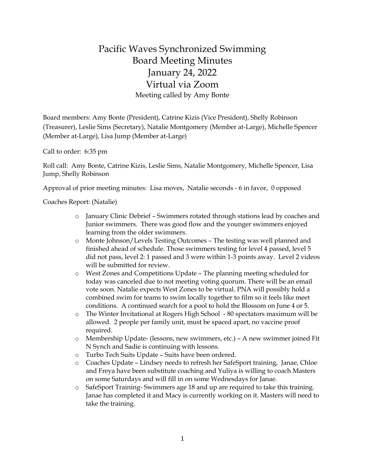## Pacific Waves Synchronized Swimming Board Meeting Minutes January 24, 2022 Virtual via Zoom Meeting called by Amy Bonte

Board members: Amy Bonte (President), Catrine Kizis (Vice President), Shelly Robinson (Treasurer), Leslie Sims (Secretary), Natalie Montgomery (Member at-Large), Michelle Spencer (Member at-Large), Lisa Jump (Member at-Large)

Call to order: 6:35 pm

Roll call: Amy Bonte, Catrine Kizis, Leslie Sims, Natalie Montgomery, Michelle Spencer, Lisa Jump, Shelly Robinson

Approval of prior meeting minutes: Lisa moves, Natalie seconds - 6 in favor, 0 opposed

Coaches Report: (Natalie)

- o January Clinic Debrief Swimmers rotated through stations lead by coaches and Junior swimmers. There was good flow and the younger swimmers enjoyed learning from the older swimmers.
- o Monte Johnson/Levels Testing Outcomes The testing was well planned and finished ahead of schedule. Those swimmers testing for level 4 passed, level 5 did not pass, level 2: 1 passed and 3 were within 1-3 points away. Level 2 videos will be submitted for review.
- o West Zones and Competitions Update The planning meeting scheduled for today was canceled due to not meeting voting quorum. There will be an email vote soon. Natalie expects West Zones to be virtual. PNA will possibly hold a combined swim for teams to swim locally together to film so it feels like meet conditions. A continued search for a pool to hold the Blossom on June 4 or 5.
- o The Winter Invitational at Rogers High School 80 spectators maximum will be allowed. 2 people per family unit, must be spaced apart, no vaccine proof required.
- o Membership Update- (lessons, new swimmers, etc.) A new swimmer joined Fit N Synch and Sadie is continuing with lessons.
- o Turbo Tech Suits Update Suits have been ordered.
- o Coaches Update Lindsey needs to refresh her SafeSport training, Janae, Chloe and Freya have been substitute coaching and Yuliya is willing to coach Masters on some Saturdays and will fill in on some Wednesdays for Janae.
- o SafeSport Training- Swimmers age 18 and up are required to take this training. Janae has completed it and Macy is currently working on it. Masters will need to take the training.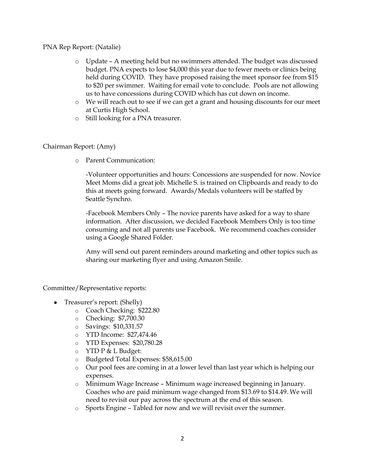PNA Rep Report: (Natalie)

- o Update A meeting held but no swimmers attended. The budget was discussed budget. PNA expects to lose \$4,000 this year due to fewer meets or clinics being held during COVID. They have proposed raising the meet sponsor fee from \$15 to \$20 per swimmer. Waiting for email vote to conclude. Pools are not allowing us to have concessions during COVID which has cut down on income.
- o We will reach out to see if we can get a grant and housing discounts for our meet at Curtis High School.
- o Still looking for a PNA treasurer.

## Chairman Report: (Amy)

o Parent Communication:

-Volunteer opportunities and hours: Concessions are suspended for now. Novice Meet Moms did a great job. Michelle S. is trained on Clipboards and ready to do this at meets going forward. Awards/Medals volunteers will be staffed by Seattle Synchro.

-Facebook Members Only – The novice parents have asked for a way to share information. After discussion, we decided Facebook Members Only is too time consuming and not all parents use Facebook. We recommend coaches consider using a Google Shared Folder.

Amy will send out parent reminders around marketing and other topics such as sharing our marketing flyer and using Amazon Smile.

Committee/Representative reports:

- Treasurer's report: (Shelly)
	- o Coach Checking: \$222.80
	- o Checking: \$7,700.30
	- o Savings: \$10,331.57
	- o YTD Income: \$27,474.46
	- o YTD Expenses: \$20,780.28
	- o YTD P & L Budget:
	- o Budgeted Total Expenses: \$58,615.00
	- o Our pool fees are coming in at a lower level than last year which is helping our expenses.
	- o Minimum Wage Increase Minimum wage increased beginning in January. Coaches who are paid minimum wage changed from \$13.69 to \$14.49. We will need to revisit our pay across the spectrum at the end of this season.
	- o Sports Engine Tabled for now and we will revisit over the summer.